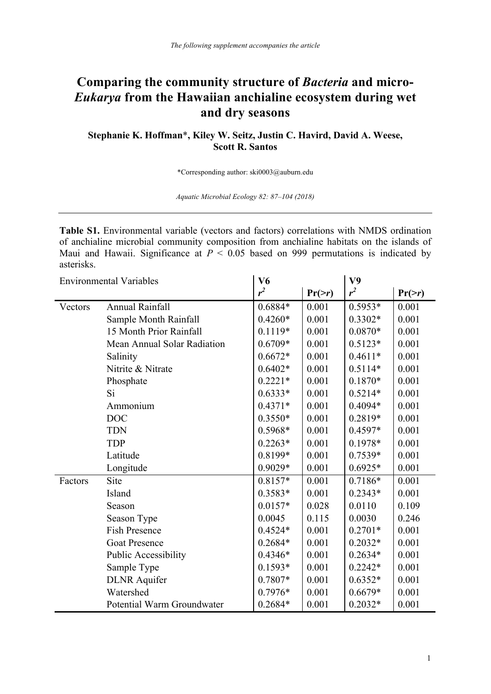## **Comparing the community structure of** *Bacteria* **and micro-***Eukarya* **from the Hawaiian anchialine ecosystem during wet and dry seasons**

**Stephanie K. Hoffman**\***, Kiley W. Seitz, Justin C. Havird, David A. Weese, Scott R. Santos**

\*Corresponding author: ski0003@auburn.edu

*Aquatic Microbial Ecology 82: 87–104 (2018)*

**Table S1.** Environmental variable (vectors and factors) correlations with NMDS ordination of anchialine microbial community composition from anchialine habitats on the islands of Maui and Hawaii. Significance at  $P < 0.05$  based on 999 permutations is indicated by asterisks.

| <b>Environmental Variables</b> |                             | V <sub>6</sub> |              | V9        |              |
|--------------------------------|-----------------------------|----------------|--------------|-----------|--------------|
|                                |                             | $r^2$          | $Pr(\geq r)$ | $r^2$     | $Pr(\geq r)$ |
| Vectors                        | <b>Annual Rainfall</b>      | 0.6884*        | 0.001        | $0.5953*$ | 0.001        |
|                                | Sample Month Rainfall       | $0.4260*$      | 0.001        | $0.3302*$ | 0.001        |
|                                | 15 Month Prior Rainfall     | $0.1119*$      | 0.001        | $0.0870*$ | 0.001        |
|                                | Mean Annual Solar Radiation | $0.6709*$      | 0.001        | $0.5123*$ | 0.001        |
|                                | Salinity                    | $0.6672*$      | 0.001        | $0.4611*$ | 0.001        |
|                                | Nitrite & Nitrate           | $0.6402*$      | 0.001        | $0.5114*$ | 0.001        |
|                                | Phosphate                   | $0.2221*$      | 0.001        | $0.1870*$ | 0.001        |
|                                | Si                          | $0.6333*$      | 0.001        | $0.5214*$ | 0.001        |
|                                | Ammonium                    | $0.4371*$      | 0.001        | $0.4094*$ | 0.001        |
|                                | <b>DOC</b>                  | $0.3550*$      | 0.001        | 0.2819*   | 0.001        |
|                                | <b>TDN</b>                  | 0.5968*        | 0.001        | $0.4597*$ | 0.001        |
|                                | <b>TDP</b>                  | $0.2263*$      | 0.001        | 0.1978*   | 0.001        |
|                                | Latitude                    | 0.8199*        | 0.001        | 0.7539*   | 0.001        |
|                                | Longitude                   | 0.9029*        | 0.001        | $0.6925*$ | 0.001        |
| Factors                        | Site                        | $0.8157*$      | 0.001        | $0.7186*$ | 0.001        |
|                                | Island                      | $0.3583*$      | 0.001        | $0.2343*$ | 0.001        |
|                                | Season                      | $0.0157*$      | 0.028        | 0.0110    | 0.109        |
|                                | Season Type                 | 0.0045         | 0.115        | 0.0030    | 0.246        |
|                                | <b>Fish Presence</b>        | $0.4524*$      | 0.001        | $0.2701*$ | 0.001        |
|                                | <b>Goat Presence</b>        | $0.2684*$      | 0.001        | $0.2032*$ | 0.001        |
|                                | <b>Public Accessibility</b> | $0.4346*$      | 0.001        | $0.2634*$ | 0.001        |
|                                | Sample Type                 | $0.1593*$      | 0.001        | $0.2242*$ | 0.001        |
|                                | <b>DLNR</b> Aquifer         | $0.7807*$      | 0.001        | $0.6352*$ | 0.001        |
|                                | Watershed                   | 0.7976*        | 0.001        | $0.6679*$ | 0.001        |
|                                | Potential Warm Groundwater  | $0.2684*$      | 0.001        | $0.2032*$ | 0.001        |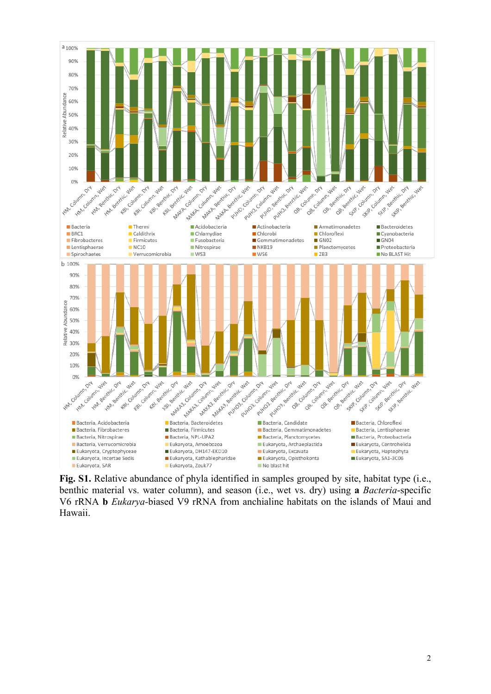

**Fig. S1.** Relative abundance of phyla identified in samples grouped by site, habitat type (i.e., benthic material vs. water column), and season (i.e., wet vs. dry) using **a** *Bacteria*-specific V6 rRNA **b** *Eukarya-*biased V9 rRNA from anchialine habitats on the islands of Maui and Hawaii.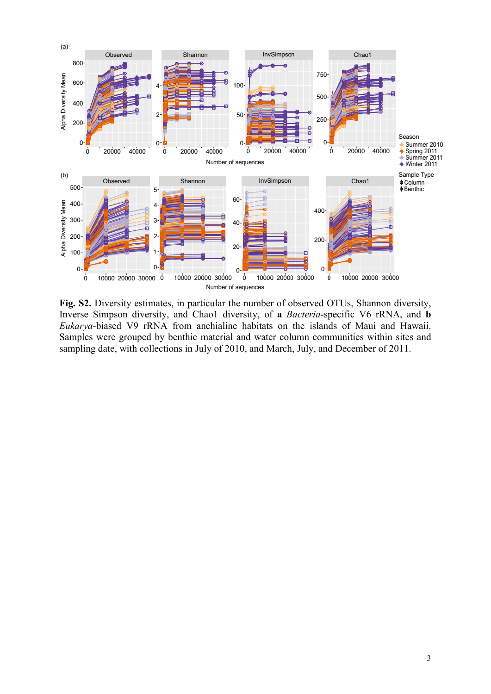

**Fig. S2.** Diversity estimates, in particular the number of observed OTUs, Shannon diversity, Inverse Simpson diversity, and Chao1 diversity, of **a** *Bacteria*-specific V6 rRNA, and **b** *Eukarya*-biased V9 rRNA from anchialine habitats on the islands of Maui and Hawaii. Samples were grouped by benthic material and water column communities within sites and sampling date, with collections in July of 2010, and March, July, and December of 2011.